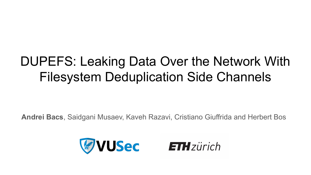# DUPEFS: Leaking Data Over the Network With Filesystem Deduplication Side Channels

**Andrei Bacs**, Saidgani Musaev, Kaveh Razavi, Cristiano Giuffrida and Herbert Bos

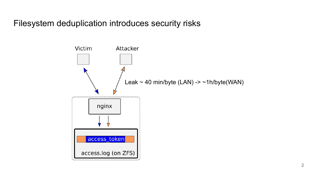Filesystem deduplication introduces security risks

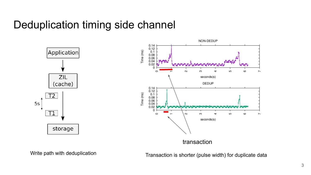#### Deduplication timing side channel





Write path with deduplication

Transaction is shorter (pulse width) for duplicate data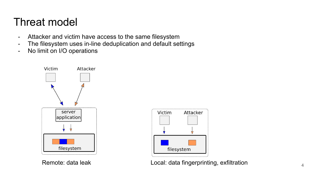### Threat model

- Attacker and victim have access to the same filesystem
- The filesystem uses in-line deduplication and default settings
- No limit on I/O operations





Remote: data leak 4 Local: data fingerprinting, exfiltration 4 Local 4 A Local: data fingerprinting, exfiltration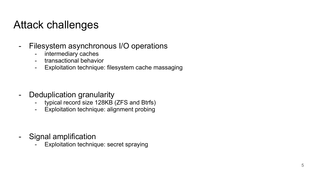# Attack challenges

- Filesystem asynchronous I/O operations
	- intermediary caches
	- transactional behavior
	- Exploitation technique: filesystem cache massaging

- Deduplication granularity
	- typical record size 128KB (ZFS and Btrfs)
	- Exploitation technique: alignment probing

- Signal amplification
	- Exploitation technique: secret spraying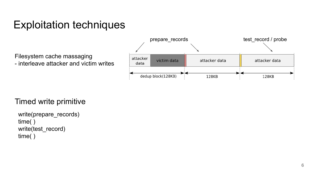Filesystem cache massaging - interleave attacker and victim writes



#### Timed write primitive

```
write(prepare_records)
time( )
write(test_record)
time( )
```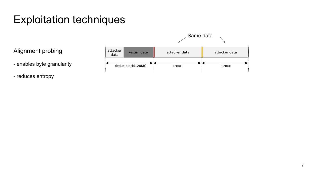Alignment probing

- enables byte granularity

- reduces entropy

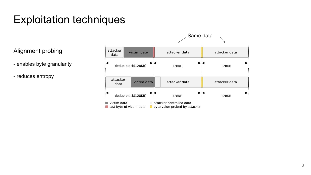Alignment probing

- enables byte granularity
- reduces entropy

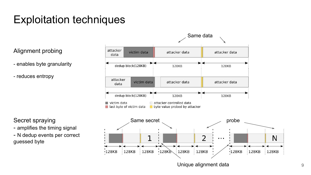Alignment probing

- enables byte granularity

- reduces entropy

Secret spraying

- amplifies the timing signal

- N dedup events per correct guessed byte

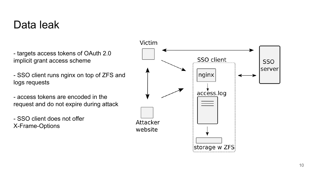- targets access tokens of OAuth 2.0 implicit grant access scheme

- SSO client runs nginx on top of ZFS and logs requests
- access tokens are encoded in the request and do not expire during attack

- SSO client does not offer X-Frame-Options

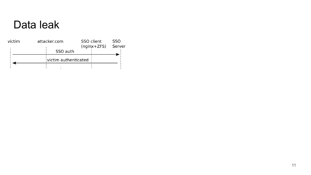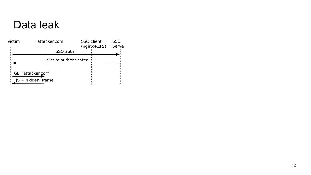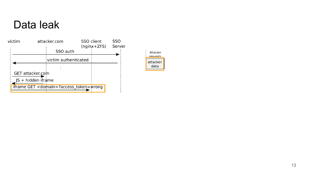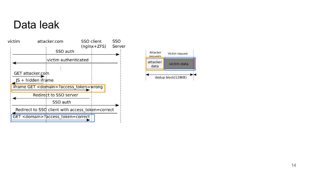

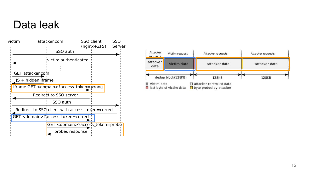

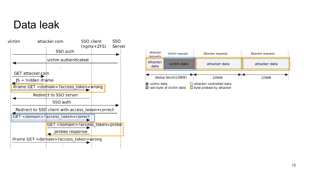

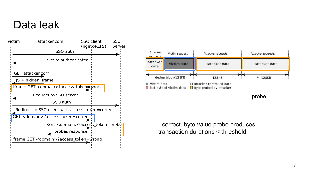



- correct byte value probe produces transaction durations < threshold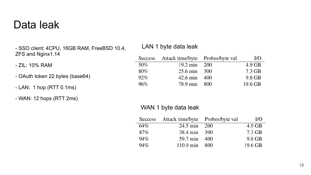- SSO client: 4CPU, 16GB RAM, FreeBSD 10.4, ZFS and Nginx1.14

- ZIL: 10% RAM

- OAuth token 22 bytes (base64)
- LAN: 1 hop (RTT 0.1ms)
- WAN: 12 hops (RTT 2ms)

#### LAN 1 byte data leak

| Success | Attack time/byte   | Probes/byte val | $\rm I/O$ |
|---------|--------------------|-----------------|-----------|
| 50%     | $19.2 \text{ min}$ | 200             | $4.9$ GB  |
| 80%     | 25.6 min           | 300             | 7.3 GB    |
| 92%     | 42.6 min           | 400             | 9.8 GB    |
| 96%     | 78.9 min           | 800             | 19.6 GB   |

#### WAN 1 byte data leak

|     | Success Attack time/byte Probes/byte val |     | I/O      |
|-----|------------------------------------------|-----|----------|
| 64% | $24.5 \text{ min}$                       | 200 | $4.9$ GB |
| 87% | 38.4 min                                 | 300 | 7.3 GB   |
| 94% | 59.7 min                                 | 400 | 9.8 GB   |
| 94% | $110.9 \text{ min}$                      | 800 | 19.6 GB  |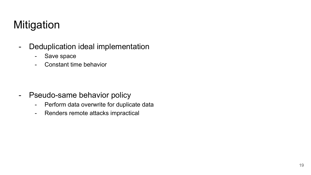# **Mitigation**

- Deduplication ideal implementation
	- Save space
	- Constant time behavior

- Pseudo-same behavior policy
	- Perform data overwrite for duplicate data
	- Renders remote attacks impractical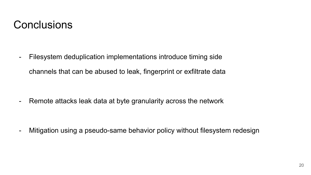### **Conclusions**

- Filesystem deduplication implementations introduce timing side channels that can be abused to leak, fingerprint or exfiltrate data

- Remote attacks leak data at byte granularity across the network

- Mitigation using a pseudo-same behavior policy without filesystem redesign